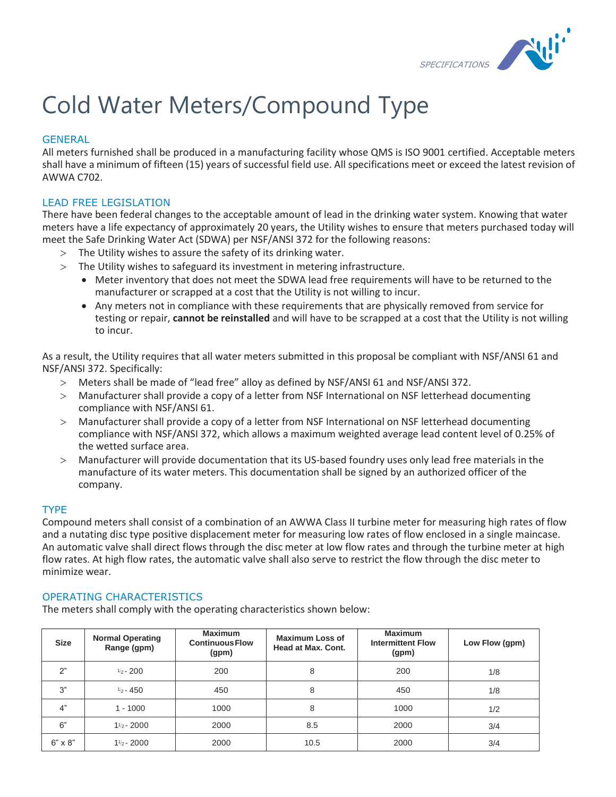

# Cold Water Meters/Compound Type

## **GENERAL**

All meters furnished shall be produced in a manufacturing facility whose QMS is ISO 9001 certified. Acceptable meters shall have a minimum of fifteen (15) years of successful field use. All specifications meet or exceed the latest revision of AWWA C702.

# LEAD FREE LEGISLATION

There have been federal changes to the acceptable amount of lead in the drinking water system. Knowing that water meters have a life expectancy of approximately 20 years, the Utility wishes to ensure that meters purchased today will meet the Safe Drinking Water Act (SDWA) per NSF/ANSI 372 for the following reasons:

- The Utility wishes to assure the safety of its drinking water.
- The Utility wishes to safeguard its investment in metering infrastructure.
	- Meter inventory that does not meet the SDWA lead free requirements will have to be returned to the manufacturer or scrapped at a cost that the Utility is not willing to incur.
	- Any meters not in compliance with these requirements that are physically removed from service for testing or repair, **cannot be reinstalled** and will have to be scrapped at a cost that the Utility is not willing to incur.

As a result, the Utility requires that all water meters submitted in this proposal be compliant with NSF/ANSI 61 and NSF/ANSI 372. Specifically:

- Meters shall be made of "lead free" alloy as defined by NSF/ANSI 61 and NSF/ANSI 372.
- Manufacturer shall provide a copy of a letter from NSF International on NSF letterhead documenting compliance with NSF/ANSI 61.
- Manufacturer shall provide a copy of a letter from NSF International on NSF letterhead documenting compliance with NSF/ANSI 372, which allows a maximum weighted average lead content level of 0.25% of the wetted surface area.
- Manufacturer will provide documentation that its US-based foundry uses only lead free materials in the manufacture of its water meters. This documentation shall be signed by an authorized officer of the company.

## TYPE

Compound meters shall consist of a combination of an AWWA Class II turbine meter for measuring high rates of flow and a nutating disc type positive displacement meter for measuring low rates of flow enclosed in a single maincase. An automatic valve shall direct flows through the disc meter at low flow rates and through the turbine meter at high flow rates. At high flow rates, the automatic valve shall also serve to restrict the flow through the disc meter to minimize wear.

## OPERATING CHARACTERISTICS

The meters shall comply with the operating characteristics shown below:

| <b>Size</b>    | <b>Normal Operating</b><br>Range (gpm) | <b>Maximum</b><br><b>Continuous Flow</b><br>(gpm) | <b>Maximum Loss of</b><br>Head at Max. Cont. | <b>Maximum</b><br><b>Intermittent Flow</b><br>(gpm) | Low Flow (gpm) |
|----------------|----------------------------------------|---------------------------------------------------|----------------------------------------------|-----------------------------------------------------|----------------|
| 2"             | $\frac{1}{2}$ - 200                    | 200                                               | 8                                            | 200                                                 | 1/8            |
| 3"             | $1/2 - 450$                            | 450                                               | 8                                            | 450                                                 | 1/8            |
| 4"             | $1 - 1000$                             | 1000                                              | 8                                            | 1000                                                | 1/2            |
| 6"             | $1\frac{1}{2}$ - 2000                  | 2000                                              | 8.5                                          | 2000                                                | 3/4            |
| $6" \times 8"$ | $1\frac{1}{2}$ - 2000                  | 2000                                              | 10.5                                         | 2000                                                | 3/4            |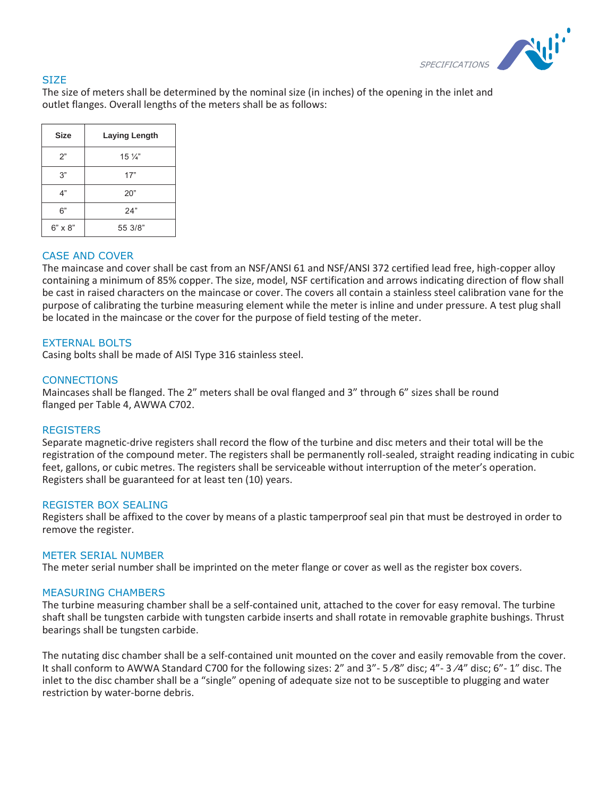

## **SIZE**

The size of meters shall be determined by the nominal size (in inches) of the opening in the inlet and outlet flanges. Overall lengths of the meters shall be as follows:

| <b>Size</b>    | <b>Laying Length</b> |  |  |
|----------------|----------------------|--|--|
| 2"             | $15\frac{1}{4}$      |  |  |
| 3"             | 17"                  |  |  |
| 4"             | 20"                  |  |  |
| 6"             | 24"                  |  |  |
| $6" \times 8"$ | 55 3/8"              |  |  |

#### CASE AND COVER

The maincase and cover shall be cast from an NSF/ANSI 61 and NSF/ANSI 372 certified lead free, high-copper alloy containing a minimum of 85% copper. The size, model, NSF certification and arrows indicating direction of flow shall be cast in raised characters on the maincase or cover. The covers all contain a stainless steel calibration vane for the purpose of calibrating the turbine measuring element while the meter is inline and under pressure. A test plug shall be located in the maincase or the cover for the purpose of field testing of the meter.

## EXTERNAL BOLTS

Casing bolts shall be made of AISI Type 316 stainless steel.

## **CONNECTIONS**

Maincases shall be flanged. The 2" meters shall be oval flanged and 3" through 6" sizes shall be round flanged per Table 4, AWWA C702.

#### **REGISTERS**

Separate magnetic-drive registers shall record the flow of the turbine and disc meters and their total will be the registration of the compound meter. The registers shall be permanently roll-sealed, straight reading indicating in cubic feet, gallons, or cubic metres. The registers shall be serviceable without interruption of the meter's operation. Registers shall be guaranteed for at least ten (10) years.

#### REGISTER BOX SEALING

Registers shall be affixed to the cover by means of a plastic tamperproof seal pin that must be destroyed in order to remove the register.

#### METER SERIAL NUMBER

The meter serial number shall be imprinted on the meter flange or cover as well as the register box covers.

#### MEASURING CHAMBERS

The turbine measuring chamber shall be a self-contained unit, attached to the cover for easy removal. The turbine shaft shall be tungsten carbide with tungsten carbide inserts and shall rotate in removable graphite bushings. Thrust bearings shall be tungsten carbide.

The nutating disc chamber shall be a self-contained unit mounted on the cover and easily removable from the cover. It shall conform to AWWA Standard C700 for the following sizes: 2" and 3"- 5 /8" disc; 4"- 3 /4" disc; 6"- 1" disc. The inlet to the disc chamber shall be a "single" opening of adequate size not to be susceptible to plugging and water restriction by water-borne debris.